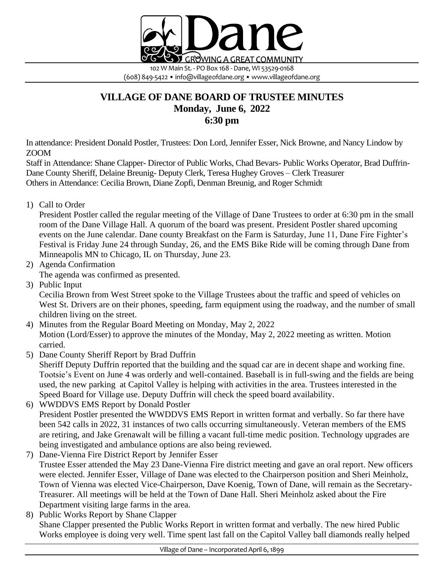

(608) 849-5422 • info@villageofdane.org • www.villageofdane.org

## **VILLAGE OF DANE BOARD OF TRUSTEE MINUTES Monday, June 6, 2022 6:30 pm**

In attendance: President Donald Postler, Trustees: Don Lord, Jennifer Esser, Nick Browne, and Nancy Lindow by ZOOM

Staff in Attendance: Shane Clapper- Director of Public Works, Chad Bevars- Public Works Operator, Brad Duffrin-Dane County Sheriff, Delaine Breunig- Deputy Clerk, Teresa Hughey Groves – Clerk Treasurer Others in Attendance: Cecilia Brown, Diane Zopfi, Denman Breunig, and Roger Schmidt

1) Call to Order

President Postler called the regular meeting of the Village of Dane Trustees to order at 6:30 pm in the small room of the Dane Village Hall. A quorum of the board was present. President Postler shared upcoming events on the June calendar. Dane county Breakfast on the Farm is Saturday, June 11, Dane Fire Fighter's Festival is Friday June 24 through Sunday, 26, and the EMS Bike Ride will be coming through Dane from Minneapolis MN to Chicago, IL on Thursday, June 23.

- 2) Agenda Confirmation
	- The agenda was confirmed as presented.
- 3) Public Input

Cecilia Brown from West Street spoke to the Village Trustees about the traffic and speed of vehicles on West St. Drivers are on their phones, speeding, farm equipment using the roadway, and the number of small children living on the street.

- 4) Minutes from the Regular Board Meeting on Monday, May 2, 2022 Motion (Lord/Esser) to approve the minutes of the Monday, May 2, 2022 meeting as written. Motion carried.
- 5) Dane County Sheriff Report by Brad Duffrin

Sheriff Deputy Duffrin reported that the building and the squad car are in decent shape and working fine. Tootsie's Event on June 4 was orderly and well-contained. Baseball is in full-swing and the fields are being used, the new parking at Capitol Valley is helping with activities in the area. Trustees interested in the Speed Board for Village use. Deputy Duffrin will check the speed board availability.

- 6) WWDDVS EMS Report by Donald Postler President Postler presented the WWDDVS EMS Report in written format and verbally. So far there have been 542 calls in 2022, 31 instances of two calls occurring simultaneously. Veteran members of the EMS are retiring, and Jake Grenawalt will be filling a vacant full-time medic position. Technology upgrades are being investigated and ambulance options are also being reviewed.
- 7) Dane-Vienna Fire District Report by Jennifer Esser Trustee Esser attended the May 23 Dane-Vienna Fire district meeting and gave an oral report. New officers were elected. Jennifer Esser, Village of Dane was elected to the Chairperson position and Sheri Meinholz, Town of Vienna was elected Vice-Chairperson, Dave Koenig, Town of Dane, will remain as the Secretary-Treasurer. All meetings will be held at the Town of Dane Hall. Sheri Meinholz asked about the Fire Department visiting large farms in the area.
- 8) Public Works Report by Shane Clapper Shane Clapper presented the Public Works Report in written format and verbally. The new hired Public Works employee is doing very well. Time spent last fall on the Capitol Valley ball diamonds really helped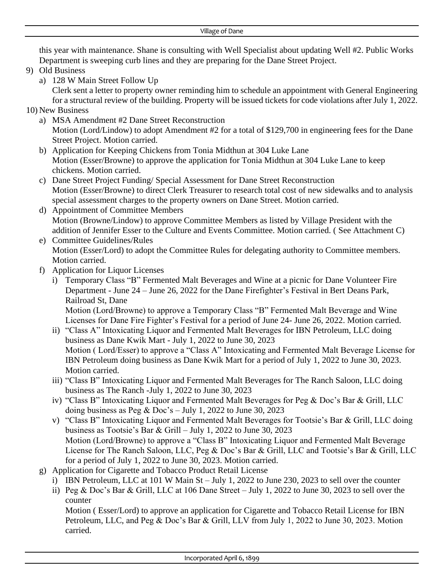this year with maintenance. Shane is consulting with Well Specialist about updating Well #2. Public Works Department is sweeping curb lines and they are preparing for the Dane Street Project.

- 9) Old Business
	- a) 128 W Main Street Follow Up

Clerk sent a letter to property owner reminding him to schedule an appointment with General Engineering for a structural review of the building. Property will be issued tickets for code violations after July 1, 2022.

- 10) New Business
	- a) MSA Amendment #2 Dane Street Reconstruction Motion (Lord/Lindow) to adopt Amendment #2 for a total of \$129,700 in engineering fees for the Dane Street Project. Motion carried.
	- b) Application for Keeping Chickens from Tonia Midthun at 304 Luke Lane Motion (Esser/Browne) to approve the application for Tonia Midthun at 304 Luke Lane to keep chickens. Motion carried.
	- c) Dane Street Project Funding/ Special Assessment for Dane Street Reconstruction Motion (Esser/Browne) to direct Clerk Treasurer to research total cost of new sidewalks and to analysis special assessment charges to the property owners on Dane Street. Motion carried.
	- d) Appointment of Committee Members Motion (Browne/Lindow) to approve Committee Members as listed by Village President with the addition of Jennifer Esser to the Culture and Events Committee. Motion carried. ( See Attachment C)
	- e) Committee Guidelines/Rules Motion (Esser/Lord) to adopt the Committee Rules for delegating authority to Committee members. Motion carried.
	- f) Application for Liquor Licenses
		- i) Temporary Class "B" Fermented Malt Beverages and Wine at a picnic for Dane Volunteer Fire Department - June 24 – June 26, 2022 for the Dane Firefighter's Festival in Bert Deans Park, Railroad St, Dane

Motion (Lord/Browne) to approve a Temporary Class "B" Fermented Malt Beverage and Wine Licenses for Dane Fire Fighter's Festival for a period of June 24- June 26, 2022. Motion carried.

- ii) "Class A" Intoxicating Liquor and Fermented Malt Beverages for IBN Petroleum, LLC doing business as Dane Kwik Mart - July 1, 2022 to June 30, 2023 Motion ( Lord/Esser) to approve a "Class A" Intoxicating and Fermented Malt Beverage License for IBN Petroleum doing business as Dane Kwik Mart for a period of July 1, 2022 to June 30, 2023. Motion carried.
- iii) "Class B" Intoxicating Liquor and Fermented Malt Beverages for The Ranch Saloon, LLC doing business as The Ranch -July 1, 2022 to June 30, 2023
- iv) "Class B" Intoxicating Liquor and Fermented Malt Beverages for Peg & Doc's Bar & Grill, LLC doing business as Peg & Doc's – July 1, 2022 to June 30, 2023
- v) "Class B" Intoxicating Liquor and Fermented Malt Beverages for Tootsie's Bar & Grill, LLC doing business as Tootsie's Bar & Grill – July 1, 2022 to June 30, 2023 Motion (Lord/Browne) to approve a "Class B" Intoxicating Liquor and Fermented Malt Beverage License for The Ranch Saloon, LLC, Peg & Doc's Bar & Grill, LLC and Tootsie's Bar & Grill, LLC for a period of July 1, 2022 to June 30, 2023. Motion carried.
- g) Application for Cigarette and Tobacco Product Retail License
	- i) IBN Petroleum, LLC at 101 W Main St July 1, 2022 to June 230, 2023 to sell over the counter
	- ii) Peg & Doc's Bar & Grill, LLC at 106 Dane Street July 1, 2022 to June 30, 2023 to sell over the counter

Motion ( Esser/Lord) to approve an application for Cigarette and Tobacco Retail License for IBN Petroleum, LLC, and Peg & Doc's Bar & Grill, LLV from July 1, 2022 to June 30, 2023. Motion carried.